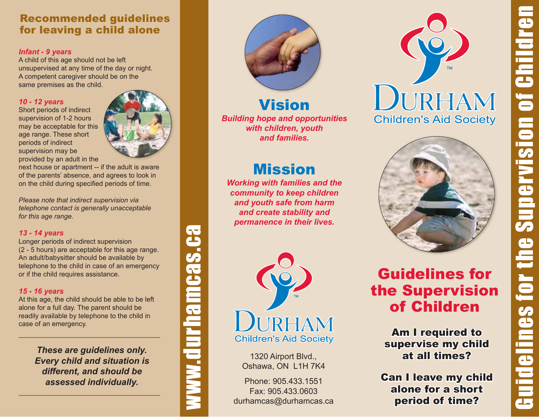## Recommended guidelines for leaving a child alone

### *Infant - 9 years*

A child of this age should not be left unsupervised at any time of the day or night. A competent caregiver should be on the same premises as the child.

### *10 - 12 years*

Short periods of indirect supervision of 1-2 hours may be acceptable for this age range. These short periods of indirect supervision may be provided by an adult in the



next house or apartment -- if the adult is aware of the parents' absence, and agrees to look in on the child during specified periods of time.

*Please note that indirect supervision via telephone contact is generally unacceptable for this age range.* 

### *13 - 14 years*

Longer periods of indirect supervision (2 - 5 hours) are acceptable for this age range. An adult/babysitter should be available by telephone to the child in case of an emergency or if the child requires assistance.

### *15 - 16 years*

At this age, the child should be able to be left alone for a full day. The parent should be readily available by telephone to the child in case of an emergency.

> *These are guidelines only. Every child and situation is different, and should be assessed individually.*



*Building hope and opportunities with children, youth and families.* Vision

# Mission

*Working with families and the community to keep children and youth safe from harm and create stability and permanence in their lives.*



www.durhamcas.ca

**WWW.QUFNamcas.ca** 

1320 Airport Blvd., Oshawa, ON L1H 7K4

Phone: 905.433.1551 Fax: 905.433.0603 durhamcas@durhamcas.ca





## Guidelines for the Supervision of Children

Am I required to supervise my child at all times?

Can I leave my child alone for a short period of time?